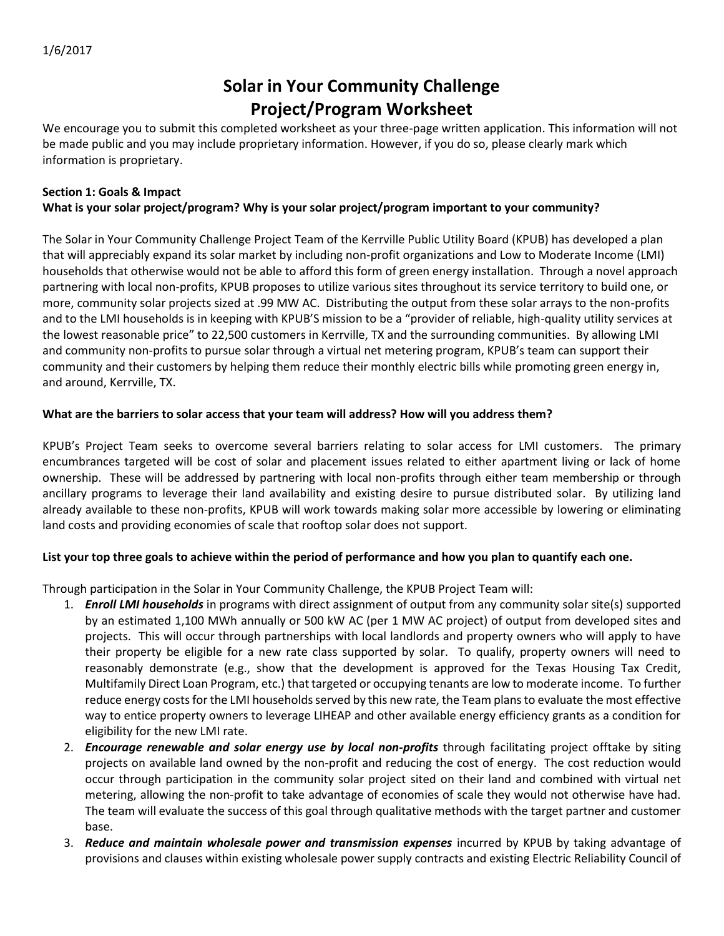# **Solar in Your Community Challenge Project/Program Worksheet**

We encourage you to submit this completed worksheet as your three-page written application. This information will not be made public and you may include proprietary information. However, if you do so, please clearly mark which information is proprietary.

#### **Section 1: Goals & Impact What is your solar project/program? Why is your solar project/program important to your community?**

The Solar in Your Community Challenge Project Team of the Kerrville Public Utility Board (KPUB) has developed a plan that will appreciably expand its solar market by including non-profit organizations and Low to Moderate Income (LMI) households that otherwise would not be able to afford this form of green energy installation. Through a novel approach partnering with local non-profits, KPUB proposes to utilize various sites throughout its service territory to build one, or more, community solar projects sized at .99 MW AC. Distributing the output from these solar arrays to the non-profits and to the LMI households is in keeping with KPUB'S mission to be a "provider of reliable, high-quality utility services at the lowest reasonable price" to 22,500 customers in Kerrville, TX and the surrounding communities. By allowing LMI and community non-profits to pursue solar through a virtual net metering program, KPUB's team can support their community and their customers by helping them reduce their monthly electric bills while promoting green energy in, and around, Kerrville, TX.

# **What are the barriers to solar access that your team will address? How will you address them?**

KPUB's Project Team seeks to overcome several barriers relating to solar access for LMI customers. The primary encumbrances targeted will be cost of solar and placement issues related to either apartment living or lack of home ownership. These will be addressed by partnering with local non-profits through either team membership or through ancillary programs to leverage their land availability and existing desire to pursue distributed solar. By utilizing land already available to these non-profits, KPUB will work towards making solar more accessible by lowering or eliminating land costs and providing economies of scale that rooftop solar does not support.

# **List your top three goals to achieve within the period of performance and how you plan to quantify each one.**

Through participation in the Solar in Your Community Challenge, the KPUB Project Team will:

- 1. *Enroll LMI households* in programs with direct assignment of output from any community solar site(s) supported by an estimated 1,100 MWh annually or 500 kW AC (per 1 MW AC project) of output from developed sites and projects. This will occur through partnerships with local landlords and property owners who will apply to have their property be eligible for a new rate class supported by solar. To qualify, property owners will need to reasonably demonstrate (e.g., show that the development is approved for the Texas Housing Tax Credit, Multifamily Direct Loan Program, etc.) that targeted or occupying tenants are low to moderate income. To further reduce energy costs for the LMI households served by this new rate, the Team plans to evaluate the most effective way to entice property owners to leverage LIHEAP and other available energy efficiency grants as a condition for eligibility for the new LMI rate.
- 2. *Encourage renewable and solar energy use by local non-profits* through facilitating project offtake by siting projects on available land owned by the non-profit and reducing the cost of energy. The cost reduction would occur through participation in the community solar project sited on their land and combined with virtual net metering, allowing the non-profit to take advantage of economies of scale they would not otherwise have had. The team will evaluate the success of this goal through qualitative methods with the target partner and customer base.
- 3. *Reduce and maintain wholesale power and transmission expenses* incurred by KPUB by taking advantage of provisions and clauses within existing wholesale power supply contracts and existing Electric Reliability Council of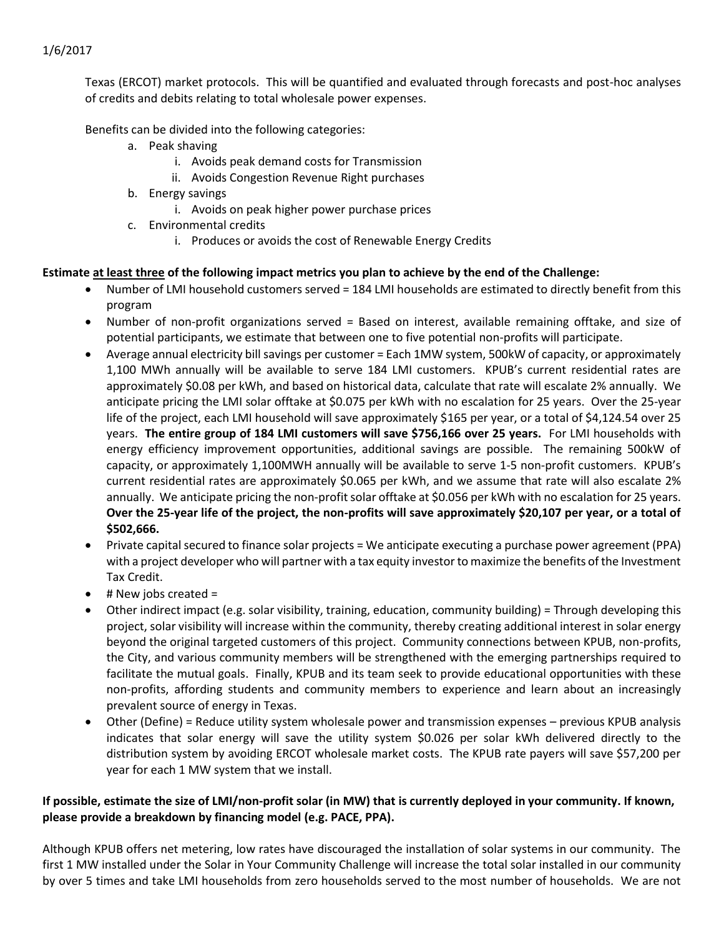Texas (ERCOT) market protocols. This will be quantified and evaluated through forecasts and post-hoc analyses of credits and debits relating to total wholesale power expenses.

Benefits can be divided into the following categories:

- a. Peak shaving
	- i. Avoids peak demand costs for Transmission
	- ii. Avoids Congestion Revenue Right purchases
- b. Energy savings
	- i. Avoids on peak higher power purchase prices
- c. Environmental credits
	- i. Produces or avoids the cost of Renewable Energy Credits

#### **Estimate at least three of the following impact metrics you plan to achieve by the end of the Challenge:**

- Number of LMI household customers served = 184 LMI households are estimated to directly benefit from this program
- Number of non-profit organizations served = Based on interest, available remaining offtake, and size of potential participants, we estimate that between one to five potential non-profits will participate.
- Average annual electricity bill savings per customer = Each 1MW system, 500kW of capacity, or approximately 1,100 MWh annually will be available to serve 184 LMI customers. KPUB's current residential rates are approximately \$0.08 per kWh, and based on historical data, calculate that rate will escalate 2% annually. We anticipate pricing the LMI solar offtake at \$0.075 per kWh with no escalation for 25 years. Over the 25-year life of the project, each LMI household will save approximately \$165 per year, or a total of \$4,124.54 over 25 years. **The entire group of 184 LMI customers will save \$756,166 over 25 years.** For LMI households with energy efficiency improvement opportunities, additional savings are possible. The remaining 500kW of capacity, or approximately 1,100MWH annually will be available to serve 1-5 non-profit customers. KPUB's current residential rates are approximately \$0.065 per kWh, and we assume that rate will also escalate 2% annually. We anticipate pricing the non-profit solar offtake at \$0.056 per kWh with no escalation for 25 years. **Over the 25-year life of the project, the non-profits will save approximately \$20,107 per year, or a total of \$502,666.**
- Private capital secured to finance solar projects = We anticipate executing a purchase power agreement (PPA) with a project developer who will partner with a tax equity investor to maximize the benefits of the Investment Tax Credit.
- $\bullet$  # New jobs created =
- Other indirect impact (e.g. solar visibility, training, education, community building) = Through developing this project, solar visibility will increase within the community, thereby creating additional interest in solar energy beyond the original targeted customers of this project. Community connections between KPUB, non-profits, the City, and various community members will be strengthened with the emerging partnerships required to facilitate the mutual goals. Finally, KPUB and its team seek to provide educational opportunities with these non-profits, affording students and community members to experience and learn about an increasingly prevalent source of energy in Texas.
- Other (Define) = Reduce utility system wholesale power and transmission expenses previous KPUB analysis indicates that solar energy will save the utility system \$0.026 per solar kWh delivered directly to the distribution system by avoiding ERCOT wholesale market costs. The KPUB rate payers will save \$57,200 per year for each 1 MW system that we install.

#### **If possible, estimate the size of LMI/non-profit solar (in MW) that is currently deployed in your community. If known, please provide a breakdown by financing model (e.g. PACE, PPA).**

Although KPUB offers net metering, low rates have discouraged the installation of solar systems in our community. The first 1 MW installed under the Solar in Your Community Challenge will increase the total solar installed in our community by over 5 times and take LMI households from zero households served to the most number of households. We are not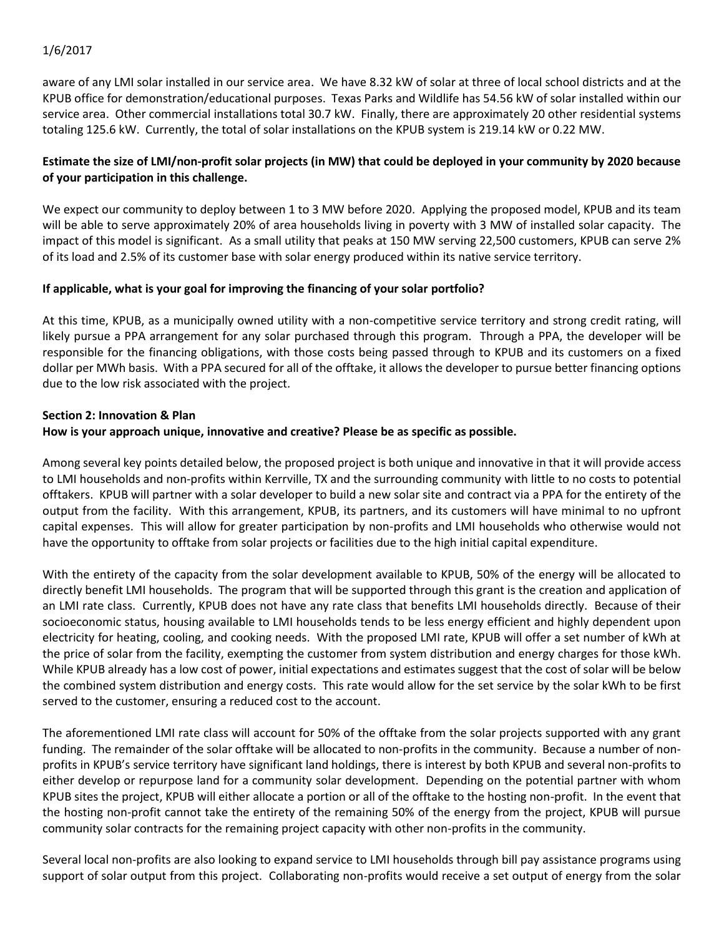aware of any LMI solar installed in our service area. We have 8.32 kW of solar at three of local school districts and at the KPUB office for demonstration/educational purposes. Texas Parks and Wildlife has 54.56 kW of solar installed within our service area. Other commercial installations total 30.7 kW. Finally, there are approximately 20 other residential systems totaling 125.6 kW. Currently, the total of solar installations on the KPUB system is 219.14 kW or 0.22 MW.

# **Estimate the size of LMI/non-profit solar projects (in MW) that could be deployed in your community by 2020 because of your participation in this challenge.**

We expect our community to deploy between 1 to 3 MW before 2020. Applying the proposed model, KPUB and its team will be able to serve approximately 20% of area households living in poverty with 3 MW of installed solar capacity. The impact of this model is significant. As a small utility that peaks at 150 MW serving 22,500 customers, KPUB can serve 2% of its load and 2.5% of its customer base with solar energy produced within its native service territory.

#### **If applicable, what is your goal for improving the financing of your solar portfolio?**

At this time, KPUB, as a municipally owned utility with a non-competitive service territory and strong credit rating, will likely pursue a PPA arrangement for any solar purchased through this program. Through a PPA, the developer will be responsible for the financing obligations, with those costs being passed through to KPUB and its customers on a fixed dollar per MWh basis. With a PPA secured for all of the offtake, it allows the developer to pursue better financing options due to the low risk associated with the project.

#### **Section 2: Innovation & Plan**

#### **How is your approach unique, innovative and creative? Please be as specific as possible.**

Among several key points detailed below, the proposed project is both unique and innovative in that it will provide access to LMI households and non-profits within Kerrville, TX and the surrounding community with little to no costs to potential offtakers. KPUB will partner with a solar developer to build a new solar site and contract via a PPA for the entirety of the output from the facility. With this arrangement, KPUB, its partners, and its customers will have minimal to no upfront capital expenses. This will allow for greater participation by non-profits and LMI households who otherwise would not have the opportunity to offtake from solar projects or facilities due to the high initial capital expenditure.

With the entirety of the capacity from the solar development available to KPUB, 50% of the energy will be allocated to directly benefit LMI households. The program that will be supported through this grant is the creation and application of an LMI rate class. Currently, KPUB does not have any rate class that benefits LMI households directly. Because of their socioeconomic status, housing available to LMI households tends to be less energy efficient and highly dependent upon electricity for heating, cooling, and cooking needs. With the proposed LMI rate, KPUB will offer a set number of kWh at the price of solar from the facility, exempting the customer from system distribution and energy charges for those kWh. While KPUB already has a low cost of power, initial expectations and estimates suggest that the cost of solar will be below the combined system distribution and energy costs. This rate would allow for the set service by the solar kWh to be first served to the customer, ensuring a reduced cost to the account.

The aforementioned LMI rate class will account for 50% of the offtake from the solar projects supported with any grant funding. The remainder of the solar offtake will be allocated to non-profits in the community. Because a number of nonprofits in KPUB's service territory have significant land holdings, there is interest by both KPUB and several non-profits to either develop or repurpose land for a community solar development. Depending on the potential partner with whom KPUB sites the project, KPUB will either allocate a portion or all of the offtake to the hosting non-profit. In the event that the hosting non-profit cannot take the entirety of the remaining 50% of the energy from the project, KPUB will pursue community solar contracts for the remaining project capacity with other non-profits in the community.

Several local non-profits are also looking to expand service to LMI households through bill pay assistance programs using support of solar output from this project. Collaborating non-profits would receive a set output of energy from the solar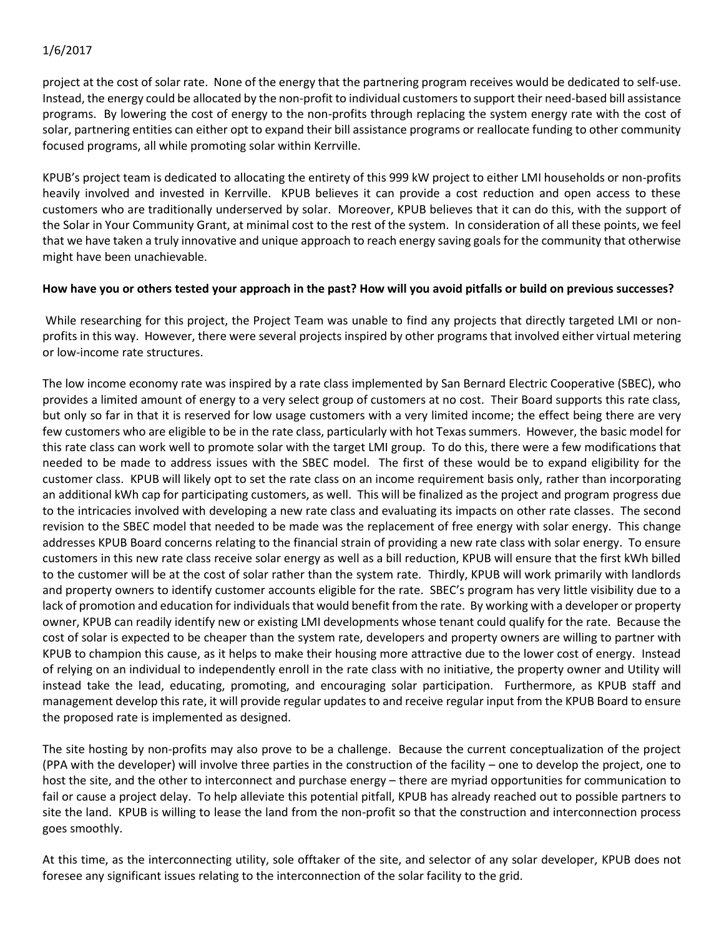project at the cost of solar rate. None of the energy that the partnering program receives would be dedicated to self-use. Instead, the energy could be allocated by the non-profit to individual customers to support their need-based bill assistance programs. By lowering the cost of energy to the non-profits through replacing the system energy rate with the cost of solar, partnering entities can either opt to expand their bill assistance programs or reallocate funding to other community focused programs, all while promoting solar within Kerrville.

KPUB's project team is dedicated to allocating the entirety of this 999 kW project to either LMI households or non-profits heavily involved and invested in Kerrville. KPUB believes it can provide a cost reduction and open access to these customers who are traditionally underserved by solar. Moreover, KPUB believes that it can do this, with the support of the Solar in Your Community Grant, at minimal cost to the rest of the system. In consideration of all these points, we feel that we have taken a truly innovative and unique approach to reach energy saving goals for the community that otherwise might have been unachievable.

#### **How have you or others tested your approach in the past? How will you avoid pitfalls or build on previous successes?**

While researching for this project, the Project Team was unable to find any projects that directly targeted LMI or nonprofits in this way. However, there were several projects inspired by other programs that involved either virtual metering or low-income rate structures.

The low income economy rate was inspired by a rate class implemented by San Bernard Electric Cooperative (SBEC), who provides a limited amount of energy to a very select group of customers at no cost. Their Board supports this rate class, but only so far in that it is reserved for low usage customers with a very limited income; the effect being there are very few customers who are eligible to be in the rate class, particularly with hot Texas summers. However, the basic model for this rate class can work well to promote solar with the target LMI group. To do this, there were a few modifications that needed to be made to address issues with the SBEC model. The first of these would be to expand eligibility for the customer class. KPUB will likely opt to set the rate class on an income requirement basis only, rather than incorporating an additional kWh cap for participating customers, as well. This will be finalized as the project and program progress due to the intricacies involved with developing a new rate class and evaluating its impacts on other rate classes. The second revision to the SBEC model that needed to be made was the replacement of free energy with solar energy. This change addresses KPUB Board concerns relating to the financial strain of providing a new rate class with solar energy. To ensure customers in this new rate class receive solar energy as well as a bill reduction, KPUB will ensure that the first kWh billed to the customer will be at the cost of solar rather than the system rate. Thirdly, KPUB will work primarily with landlords and property owners to identify customer accounts eligible for the rate. SBEC's program has very little visibility due to a lack of promotion and education for individuals that would benefit from the rate. By working with a developer or property owner, KPUB can readily identify new or existing LMI developments whose tenant could qualify for the rate. Because the cost of solar is expected to be cheaper than the system rate, developers and property owners are willing to partner with KPUB to champion this cause, as it helps to make their housing more attractive due to the lower cost of energy. Instead of relying on an individual to independently enroll in the rate class with no initiative, the property owner and Utility will instead take the lead, educating, promoting, and encouraging solar participation. Furthermore, as KPUB staff and management develop this rate, it will provide regular updates to and receive regular input from the KPUB Board to ensure the proposed rate is implemented as designed.

The site hosting by non-profits may also prove to be a challenge. Because the current conceptualization of the project (PPA with the developer) will involve three parties in the construction of the facility – one to develop the project, one to host the site, and the other to interconnect and purchase energy – there are myriad opportunities for communication to fail or cause a project delay. To help alleviate this potential pitfall, KPUB has already reached out to possible partners to site the land. KPUB is willing to lease the land from the non-profit so that the construction and interconnection process goes smoothly.

At this time, as the interconnecting utility, sole offtaker of the site, and selector of any solar developer, KPUB does not foresee any significant issues relating to the interconnection of the solar facility to the grid.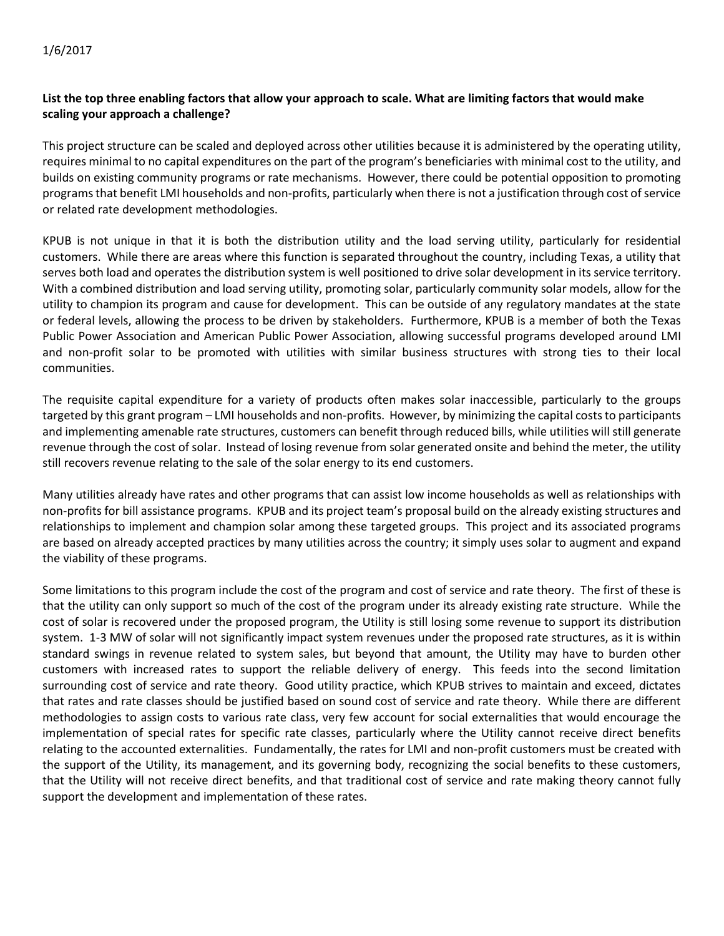# **List the top three enabling factors that allow your approach to scale. What are limiting factors that would make scaling your approach a challenge?**

This project structure can be scaled and deployed across other utilities because it is administered by the operating utility, requires minimal to no capital expenditures on the part of the program's beneficiaries with minimal cost to the utility, and builds on existing community programs or rate mechanisms. However, there could be potential opposition to promoting programs that benefit LMI households and non-profits, particularly when there is not a justification through cost of service or related rate development methodologies.

KPUB is not unique in that it is both the distribution utility and the load serving utility, particularly for residential customers. While there are areas where this function is separated throughout the country, including Texas, a utility that serves both load and operates the distribution system is well positioned to drive solar development in its service territory. With a combined distribution and load serving utility, promoting solar, particularly community solar models, allow for the utility to champion its program and cause for development. This can be outside of any regulatory mandates at the state or federal levels, allowing the process to be driven by stakeholders. Furthermore, KPUB is a member of both the Texas Public Power Association and American Public Power Association, allowing successful programs developed around LMI and non-profit solar to be promoted with utilities with similar business structures with strong ties to their local communities.

The requisite capital expenditure for a variety of products often makes solar inaccessible, particularly to the groups targeted by this grant program – LMI households and non-profits. However, by minimizing the capital costs to participants and implementing amenable rate structures, customers can benefit through reduced bills, while utilities will still generate revenue through the cost of solar. Instead of losing revenue from solar generated onsite and behind the meter, the utility still recovers revenue relating to the sale of the solar energy to its end customers.

Many utilities already have rates and other programs that can assist low income households as well as relationships with non-profits for bill assistance programs. KPUB and its project team's proposal build on the already existing structures and relationships to implement and champion solar among these targeted groups. This project and its associated programs are based on already accepted practices by many utilities across the country; it simply uses solar to augment and expand the viability of these programs.

Some limitations to this program include the cost of the program and cost of service and rate theory. The first of these is that the utility can only support so much of the cost of the program under its already existing rate structure. While the cost of solar is recovered under the proposed program, the Utility is still losing some revenue to support its distribution system. 1-3 MW of solar will not significantly impact system revenues under the proposed rate structures, as it is within standard swings in revenue related to system sales, but beyond that amount, the Utility may have to burden other customers with increased rates to support the reliable delivery of energy. This feeds into the second limitation surrounding cost of service and rate theory. Good utility practice, which KPUB strives to maintain and exceed, dictates that rates and rate classes should be justified based on sound cost of service and rate theory. While there are different methodologies to assign costs to various rate class, very few account for social externalities that would encourage the implementation of special rates for specific rate classes, particularly where the Utility cannot receive direct benefits relating to the accounted externalities. Fundamentally, the rates for LMI and non-profit customers must be created with the support of the Utility, its management, and its governing body, recognizing the social benefits to these customers, that the Utility will not receive direct benefits, and that traditional cost of service and rate making theory cannot fully support the development and implementation of these rates.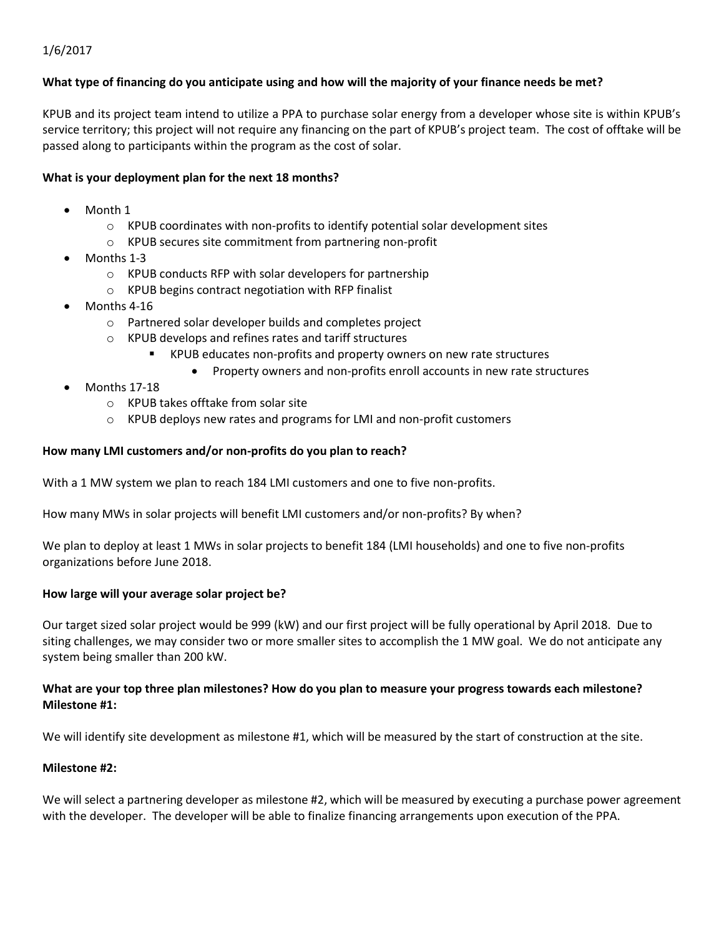#### **What type of financing do you anticipate using and how will the majority of your finance needs be met?**

KPUB and its project team intend to utilize a PPA to purchase solar energy from a developer whose site is within KPUB's service territory; this project will not require any financing on the part of KPUB's project team. The cost of offtake will be passed along to participants within the program as the cost of solar.

#### **What is your deployment plan for the next 18 months?**

- Month 1
	- o KPUB coordinates with non-profits to identify potential solar development sites
	- o KPUB secures site commitment from partnering non-profit
- Months 1-3
	- o KPUB conducts RFP with solar developers for partnership
	- o KPUB begins contract negotiation with RFP finalist
- Months 4-16
	- o Partnered solar developer builds and completes project
	- o KPUB develops and refines rates and tariff structures
		- KPUB educates non-profits and property owners on new rate structures
			- Property owners and non-profits enroll accounts in new rate structures
- Months 17-18
	- o KPUB takes offtake from solar site
	- $\circ$  KPUB deploys new rates and programs for LMI and non-profit customers

#### **How many LMI customers and/or non-profits do you plan to reach?**

With a 1 MW system we plan to reach 184 LMI customers and one to five non-profits.

How many MWs in solar projects will benefit LMI customers and/or non-profits? By when?

We plan to deploy at least 1 MWs in solar projects to benefit 184 (LMI households) and one to five non-profits organizations before June 2018.

#### **How large will your average solar project be?**

Our target sized solar project would be 999 (kW) and our first project will be fully operational by April 2018. Due to siting challenges, we may consider two or more smaller sites to accomplish the 1 MW goal. We do not anticipate any system being smaller than 200 kW.

#### **What are your top three plan milestones? How do you plan to measure your progress towards each milestone? Milestone #1:**

We will identify site development as milestone #1, which will be measured by the start of construction at the site.

#### **Milestone #2:**

We will select a partnering developer as milestone #2, which will be measured by executing a purchase power agreement with the developer. The developer will be able to finalize financing arrangements upon execution of the PPA.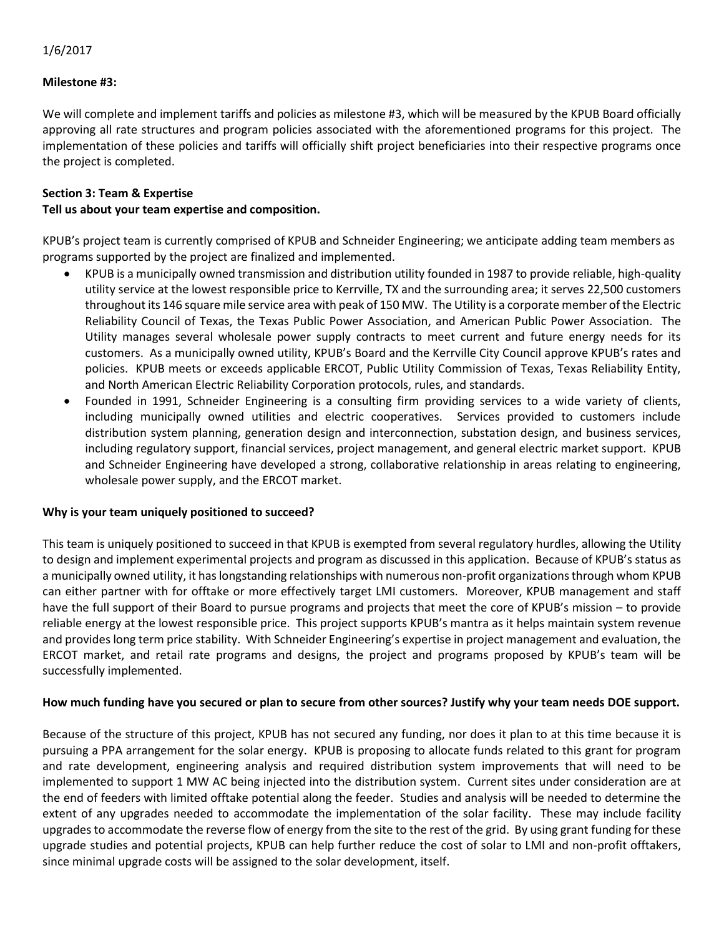#### **Milestone #3:**

We will complete and implement tariffs and policies as milestone #3, which will be measured by the KPUB Board officially approving all rate structures and program policies associated with the aforementioned programs for this project. The implementation of these policies and tariffs will officially shift project beneficiaries into their respective programs once the project is completed.

## **Section 3: Team & Expertise**

#### **Tell us about your team expertise and composition.**

KPUB's project team is currently comprised of KPUB and Schneider Engineering; we anticipate adding team members as programs supported by the project are finalized and implemented.

- KPUB is a municipally owned transmission and distribution utility founded in 1987 to provide reliable, high-quality utility service at the lowest responsible price to Kerrville, TX and the surrounding area; it serves 22,500 customers throughout its 146 square mile service area with peak of 150 MW. The Utility is a corporate member of the Electric Reliability Council of Texas, the Texas Public Power Association, and American Public Power Association. The Utility manages several wholesale power supply contracts to meet current and future energy needs for its customers. As a municipally owned utility, KPUB's Board and the Kerrville City Council approve KPUB's rates and policies. KPUB meets or exceeds applicable ERCOT, Public Utility Commission of Texas, Texas Reliability Entity, and North American Electric Reliability Corporation protocols, rules, and standards.
- Founded in 1991, Schneider Engineering is a consulting firm providing services to a wide variety of clients, including municipally owned utilities and electric cooperatives. Services provided to customers include distribution system planning, generation design and interconnection, substation design, and business services, including regulatory support, financial services, project management, and general electric market support. KPUB and Schneider Engineering have developed a strong, collaborative relationship in areas relating to engineering, wholesale power supply, and the ERCOT market.

#### **Why is your team uniquely positioned to succeed?**

This team is uniquely positioned to succeed in that KPUB is exempted from several regulatory hurdles, allowing the Utility to design and implement experimental projects and program as discussed in this application. Because of KPUB's status as a municipally owned utility, it has longstanding relationships with numerous non-profit organizations through whom KPUB can either partner with for offtake or more effectively target LMI customers. Moreover, KPUB management and staff have the full support of their Board to pursue programs and projects that meet the core of KPUB's mission – to provide reliable energy at the lowest responsible price. This project supports KPUB's mantra as it helps maintain system revenue and provides long term price stability. With Schneider Engineering's expertise in project management and evaluation, the ERCOT market, and retail rate programs and designs, the project and programs proposed by KPUB's team will be successfully implemented.

#### **How much funding have you secured or plan to secure from other sources? Justify why your team needs DOE support.**

Because of the structure of this project, KPUB has not secured any funding, nor does it plan to at this time because it is pursuing a PPA arrangement for the solar energy. KPUB is proposing to allocate funds related to this grant for program and rate development, engineering analysis and required distribution system improvements that will need to be implemented to support 1 MW AC being injected into the distribution system. Current sites under consideration are at the end of feeders with limited offtake potential along the feeder. Studies and analysis will be needed to determine the extent of any upgrades needed to accommodate the implementation of the solar facility. These may include facility upgrades to accommodate the reverse flow of energy from the site to the rest of the grid. By using grant funding for these upgrade studies and potential projects, KPUB can help further reduce the cost of solar to LMI and non-profit offtakers, since minimal upgrade costs will be assigned to the solar development, itself.